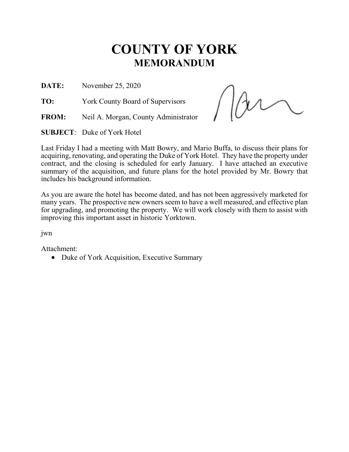# **COUNTY OF YORK MEMORANDUM**

**DATE:** November 25, 2020

**TO:** York County Board of Supervisors

**FROM:** Neil A. Morgan, County Administrator

**SUBJECT**: Duke of York Hotel

Last Friday I had a meeting with Matt Bowry, and Mario Buffa, to discuss their plans for acquiring, renovating, and operating the Duke of York Hotel. They have the property under contract, and the closing is scheduled for early January. I have attached an executive summary of the acquisition, and future plans for the hotel provided by Mr. Bowry that includes his background information.

As you are aware the hotel has become dated, and has not been aggressively marketed for many years. The prospective new owners seem to have a well measured, and effective plan for upgrading, and promoting the property. We will work closely with them to assist with improving this important asset in historic Yorktown.

jwn

Attachment:

• Duke of York Acquisition, Executive Summary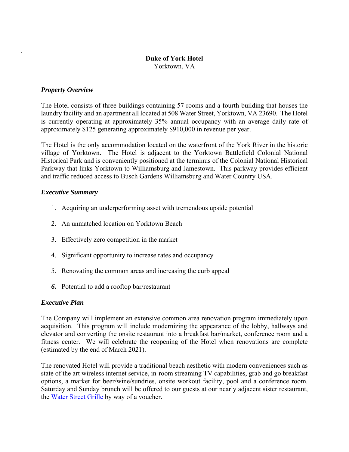# **Duke of York Hotel**

Yorktown, VA

### *Property Overview*

.

The Hotel consists of three buildings containing 57 rooms and a fourth building that houses the laundry facility and an apartment all located at 508 Water Street, Yorktown, VA 23690. The Hotel is currently operating at approximately 35% annual occupancy with an average daily rate of approximately \$125 generating approximately \$910,000 in revenue per year.

The Hotel is the only accommodation located on the waterfront of the York River in the historic village of Yorktown. The Hotel is adjacent to the Yorktown Battlefield Colonial National Historical Park and is conveniently positioned at the terminus of the Colonial National Historical Parkway that links Yorktown to Williamsburg and Jamestown. This parkway provides efficient and traffic reduced access to Busch Gardens Williamsburg and Water Country USA.

#### *Executive Summary*

- 1. Acquiring an underperforming asset with tremendous upside potential
- 2. An unmatched location on Yorktown Beach
- 3. Effectively zero competition in the market
- 4. Significant opportunity to increase rates and occupancy
- 5. Renovating the common areas and increasing the curb appeal
- *6.* Potential to add a rooftop bar/restaurant

#### *Executive Plan*

The Company will implement an extensive common area renovation program immediately upon acquisition. This program will include modernizing the appearance of the lobby, hallways and elevator and converting the onsite restaurant into a breakfast bar/market, conference room and a fitness center. We will celebrate the reopening of the Hotel when renovations are complete (estimated by the end of March 2021).

The renovated Hotel will provide a traditional beach aesthetic with modern conveniences such as state of the art wireless internet service, in-room streaming TV capabilities, grab and go breakfast options, a market for beer/wine/sundries, onsite workout facility, pool and a conference room. Saturday and Sunday brunch will be offered to our guests at our nearly adjacent sister restaurant, the Water Street Grille by way of a voucher.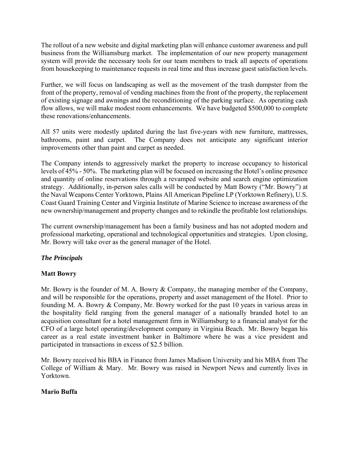The rollout of a new website and digital marketing plan will enhance customer awareness and pull business from the Williamsburg market. The implementation of our new property management system will provide the necessary tools for our team members to track all aspects of operations from housekeeping to maintenance requests in real time and thus increase guest satisfaction levels.

Further, we will focus on landscaping as well as the movement of the trash dumpster from the front of the property, removal of vending machines from the front of the property, the replacement of existing signage and awnings and the reconditioning of the parking surface. As operating cash flow allows, we will make modest room enhancements. We have budgeted \$500,000 to complete these renovations/enhancements.

All 57 units were modestly updated during the last five-years with new furniture, mattresses, bathrooms, paint and carpet. The Company does not anticipate any significant interior improvements other than paint and carpet as needed.

The Company intends to aggressively market the property to increase occupancy to historical levels of 45% - 50%. The marketing plan will be focused on increasing the Hotel's online presence and quantity of online reservations through a revamped website and search engine optimization strategy. Additionally, in-person sales calls will be conducted by Matt Bowry ("Mr. Bowry") at the Naval Weapons Center Yorktown, Plains All American Pipeline LP (Yorktown Refinery), U.S. Coast Guard Training Center and Virginia Institute of Marine Science to increase awareness of the new ownership/management and property changes and to rekindle the profitable lost relationships.

The current ownership/management has been a family business and has not adopted modern and professional marketing, operational and technological opportunities and strategies. Upon closing, Mr. Bowry will take over as the general manager of the Hotel.

# *The Principals*

# **Matt Bowry**

Mr. Bowry is the founder of M. A. Bowry & Company, the managing member of the Company, and will be responsible for the operations, property and asset management of the Hotel. Prior to founding M. A. Bowry & Company, Mr. Bowry worked for the past 10 years in various areas in the hospitality field ranging from the general manager of a nationally branded hotel to an acquisition consultant for a hotel management firm in Williamsburg to a financial analyst for the CFO of a large hotel operating/development company in Virginia Beach. Mr. Bowry began his career as a real estate investment banker in Baltimore where he was a vice president and participated in transactions in excess of \$2.5 billion.

Mr. Bowry received his BBA in Finance from James Madison University and his MBA from The College of William & Mary. Mr. Bowry was raised in Newport News and currently lives in Yorktown.

# **Mario Buffa**